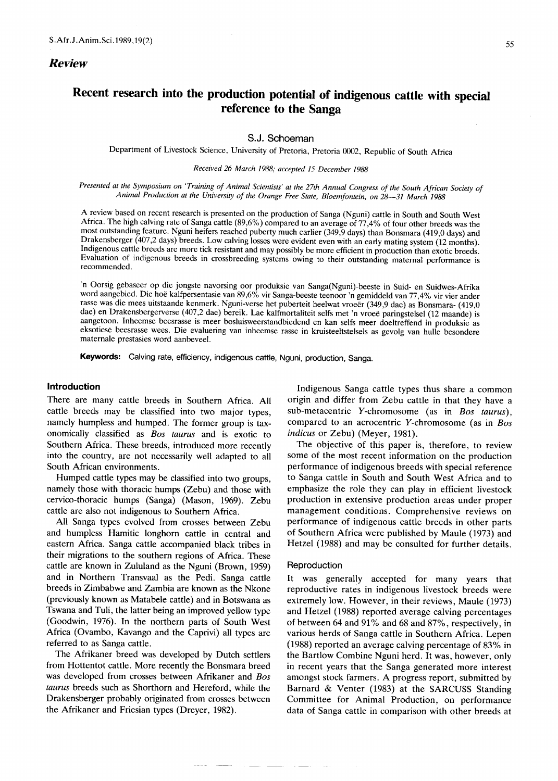# **Recent research into the production potential of indigenous cattle with special reference to the Sanga**

# S.J. Schoeman

Department of Livestock Science, University of Pretoria, Pretoria 0002, Republic of South Africa

## Received 26 March 1988; accepted 15 December 1988

Presented at the Symposium on 'Training of Animal Scientists' at the 27th Annual Congress of the South African Society of *Animal Production at the University of the Orange Free State, Bloemfontein, on* 28-31 *March 1988*

A review based on recent research is presented on the production of Sanga (Nguni) cattle in South and South West Africa. The high calving rate of Sanga cattle (89,6%) compared to an average of 77,4% of four other breeds was the most outstanding feature. Nguni heifers reached puberty much earlier (349,9 days) than Bonsmara (419,0 days) and Drakensberger (407,2 days) breeds. Low calving losses were evident even with an early mating system (12 months). Indigenous cattle breeds are more tick resistant and may possibly be more efficient in production than exotic breeds. Evaluation of indigenous breeds in crossbreeding systems owing to their outstanding maternal performance is recommended.

'n Oorsig gebaseer op die jongste navorsing oor produksie van Sanga(Nguni)-beeste in Suid- en Suidwes-Afrika word aangebied. Die hoe kalfpersentasie van 89,6% vir Sanga-beeste teenoor'n gemiddeld van 77,4% vir vier ander rasse was die mees uitstaande kenmerk. Nguni-verse het puberteit heelwat vroeer (349,9 dae) as Bonsmara- (419,0 dae) en Drakensbergerverse (407,2 dae) bereik. Lae kalfmortaliteit selfs met 'n vroee paringstelsel (12 maande) is aangetoon. Inheemse beesrasse is meer bosluisweerstandbiedend en kan selfs meer doeltreffend in produksie as eksotiese beesrasse wees. Die evaluering van inheemse rasse in kruisteeltstelsels as gevolg van hulle besondere maternale prestasies word aanbeveel.

Keywords: Calving rate, efficiency, indigenous cattle, Nguni, production, Sanga.

## **Introduction**

There are many cattle breeds in Southern Africa. All cattle breeds may be classified into two major types, namely humpless and humped. The former group is taxonomically classified as *Bos taurus* and is exotic to Southern Africa. These breeds, introduced more recently into the country, are not necessarily well adapted to all South African environments.

Humped cattle types may be classified into two groups, namely those with thoracic humps (Zebu) and those with cervico-thoracic humps (Sanga) (Mason, 1969). Zebu cattle are also not indigenous to Southern Africa.

All Sanga types evolved from crosses between Zebu and humpless Hamitic longhorn cattle in central and eastern Africa. Sanga cattle accompanied black tribes in their migrations to the southern regions of Africa. These cattle are known in Zululand as the Nguni (Brown, 1959) and in Northern Transvaal as the Pedi. Sanga cattle breeds in Zimbabwe and Zambia are known as the Nkone (previously known as Matabele cattle) and in Botswana as Tswana and Tuli, the latter being an improved yellow type (Goodwin, 1976). In the northern parts of South West Africa (Ovambo, Kavango and the Caprivi) all types are referred to as Sanga cattle.

The Afrikaner breed was developed by Dutch settlers from Hottentot cattle. More recently the Bonsmara breed was developed from crosses between Afrikaner and *Bos taurus* breeds such as Shorthorn and Hereford, while the Drakensberger probably originated from crosses between the Afrikaner and Friesian types (Dreyer, 1982).

Indigenous Sanga cattle types thus share a common origin and differ from Zebu cattle in that they have a sub-metacentric Y-chromosome (as in *Bos taurus),* compared to an acrocentric Y-chromosome (as in *Bos indicus* or Zebu) (Meyer, 1981).

The objective of this paper is, therefore, to review some of the most recent information on the production performance of indigenous breeds with special reference to Sanga cattle in South and South West Africa and to emphasize the role they can play in efficient livestock production in extensive production areas under proper management conditions. Comprehensive reviews on performance of indigenous cattle breeds in other parts of Southern Africa were published by Maule (1973) and Hetzel (1988) and may be consulted for further details.

## **Reproduction**

It was generally accepted for many years that reproductive rates in indigenous livestock breeds were extremely low. However, in their reviews, Maule (1973) and Hetzel (1988) reported average calving percentages of between 64 and 91% and 68 and 87%, respectively, in various herds of Sanga cattle in Southern Africa. Lepen (1988) reported an average calving percentage of 83% in the Bartlow Combine Nguni herd. It was, however, only in recent years that the Sanga generated more interest amongst stock farmers. A progress report, submitted by Barnard & Venter (1983) at the SARCUSS Standing Committee for Animal Production, on performance data of Sanga cattle in comparison with other breeds at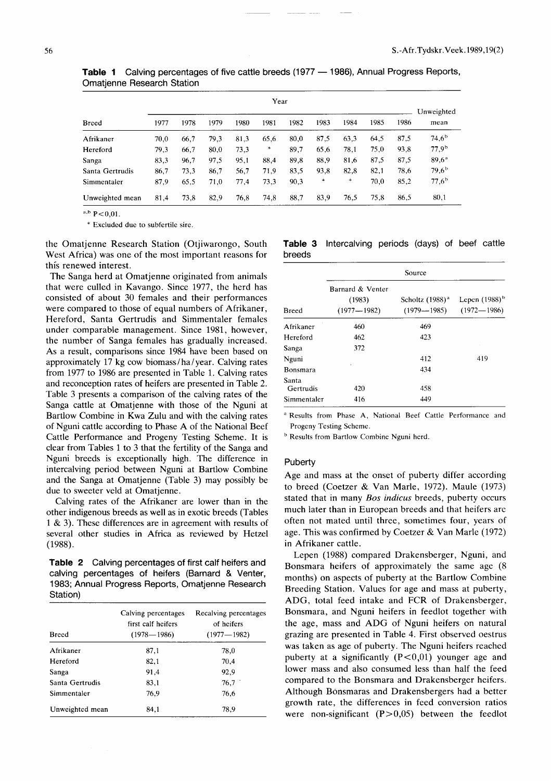|                 |      |      |      |      | Year   |      |        |      |      |      |                    |
|-----------------|------|------|------|------|--------|------|--------|------|------|------|--------------------|
| Breed           | 1977 | 1978 | 1979 | 1980 | 1981   | 1982 | 1983   | 1984 | 1985 | 1986 | Unweighted<br>mean |
| Afrikaner       | 70.0 | 66,7 | 79.3 | 81,3 | 65,6   | 80.0 | 87,5   | 63.3 | 64,5 | 87,5 | $74,6^{\rm b}$     |
| Hereford        | 79.3 | 66,7 | 80,0 | 73,3 | $\ast$ | 89.7 | 65.6   | 78.1 | 75,0 | 93,8 | $77,9^{\rm b}$     |
| Sanga           | 83,3 | 96,7 | 97,5 | 95,1 | 88,4   | 89.8 | 88.9   | 81,6 | 87.5 | 87,5 | $89,6^{\rm a}$     |
| Santa Gertrudis | 86,7 | 73,3 | 86.7 | 56,7 | 71.9   | 83.5 | 93,8   | 82,8 | 82,1 | 78,6 | $79,6^{\rm b}$     |
| Simmentaler     | 87,9 | 65.5 | 71,0 | 77,4 | 73,3   | 90,3 | $\ast$ | *    | 70,0 | 85,2 | $77,6^{\rm b}$     |
| Unweighted mean | 81,4 | 73,8 | 82.9 | 76,8 | 74,8   | 88.7 | 83.9   | 76,5 | 75,8 | 86.5 | 80,1               |

Table 1 Calving percentages of five cattle breeds (1977 - 1986), Annual Progress Reports, Omatjenne Research Station

 $^{a,b}$  P < 0.01.

\* Excluded due to subfertile sire,

the Omatjenne Research Station (Otjiwarongo, South West Africa) was one of the most important reasons for this renewed interest.

The Sanga herd at Omatjenne originated from animals that were culled in Kavango. Since 1977, the herd has consisted of about 30 females and their performances were compared to those of equal numbers of Afrikaner, Hereford, Santa Gertrudis and Simmentaler females under comparable management. Since 1981, however, the number of Sanga females has gradually increased. As a result, comparisons since 1984 have been based on approximately 17 kg cow biomass / ha / year. Calving rates from 1977 to 1986 are presented in Table 1. Calving rates and reconception rates of heifers are presented in Table 2. Table 3 presents a comparison of the calving rates of the Sanga cattle at Omatjenne with those of the Nguni at Bartlow Combine in Kwa Zulu and with the calving rates of Nguni cattle according to Phase A of the National Beef Cattle Performance and Progeny Testing Scheme. It is clear from Tables 1 to 3 that the fertility of the Sanga and Nguni breeds is exceptionally high, The difference in intercalving period between Nguni at Bartlow Combine and the Sanga at Omatjenne (Table 3) may possibly be due to sweeter veld at Omatjenne.

Calving rates of the Afrikaner are lower than in the other indigenous breeds as well as in exotic breeds (Tables 1 & 3). These differences are in agreement with results of several other studies in Africa as reviewed by Hetzel (1988),

**Table 2** Calving percentages of first calf heifers and calving percentages of heifers (Barnard & Venter, 1983; Annual Progress Reports, Omatjenne Research Station)

| <b>Breed</b>    | Calving percentages<br>first calf heifers<br>$(1978 - 1986)$ | Recalving percentages<br>of heifers<br>$(1977 - 1982)$ |
|-----------------|--------------------------------------------------------------|--------------------------------------------------------|
| Afrikaner       | 87,1                                                         | 78,0                                                   |
| Hereford        | 82.1                                                         | 70.4                                                   |
| Sanga           | 91,4                                                         | 92,9                                                   |
| Santa Gertrudis | 83,1                                                         | 76,7                                                   |
| Simmentaler     | 76,9                                                         | 76,6                                                   |
| Unweighted mean | 84.1                                                         | 78.9                                                   |

|        | Table 3 Intercalving periods (days) of beef cattle |  |  |  |
|--------|----------------------------------------------------|--|--|--|
| breeds |                                                    |  |  |  |

|                    | Source                                        |                                                |                                       |  |  |  |
|--------------------|-----------------------------------------------|------------------------------------------------|---------------------------------------|--|--|--|
| Breed              | Barnard & Venter<br>(1983)<br>$(1977 - 1982)$ | Scholtz (1988) <sup>a</sup><br>$(1979 - 1985)$ | Lepen $(1988)^{b}$<br>$(1972 - 1986)$ |  |  |  |
| Afrikaner          | 460                                           | 469                                            |                                       |  |  |  |
| Hereford           | 462                                           | 423                                            |                                       |  |  |  |
| Sanga              | 372                                           |                                                |                                       |  |  |  |
| Nguni              |                                               | 412                                            | 419                                   |  |  |  |
| Bonsmara           |                                               | 434                                            |                                       |  |  |  |
| Santa<br>Gertrudis | 420                                           | 458                                            |                                       |  |  |  |
| Simmentaler        | 416                                           | 449                                            |                                       |  |  |  |

<sup>a</sup> Results from Phase A, National Beef Cattle Performance and Progeny Testing Scheme,

**b** Results from Bartlow Combine Nguni herd.

# **Puberty**

Age and mass at the onset of puberty differ according to breed (Coetzer & Van Marle, 1972). Maule (1973) stated that in many *Bas indicus* breeds, puberty occurs much later than in European breeds and that heifers are often not mated until three, sometimes four, years of age. This was confirmed by Coetzer & Van Marle (1972) in Afrikaner cattle.

Lepen (1988) compared Drakensberger, Nguni, and Bonsmara heifers of approximately the same age (8 months) on aspects of puberty at the Bartlow Combine Breeding Station. Values for age and mass at puberty, ADG, total feed intake and FCR of Drakensberger, Bonsmara, and Nguni heifers in feedlot together with the age, mass and ADG of Nguni heifers on natural grazing are presented in Table 4. First observed oestrus was taken as age of puberty. The Nguni heifers reached puberty at a significantly  $(P<0.01)$  younger age and lower mass and also consumed less than half the feed compared to the Bonsmara and Drakensberger heifers. Although Bonsmaras and Drakensbergers had a better growth rate, the differences in feed conversion ratios were non-significant  $(P>0,05)$  between the feedlot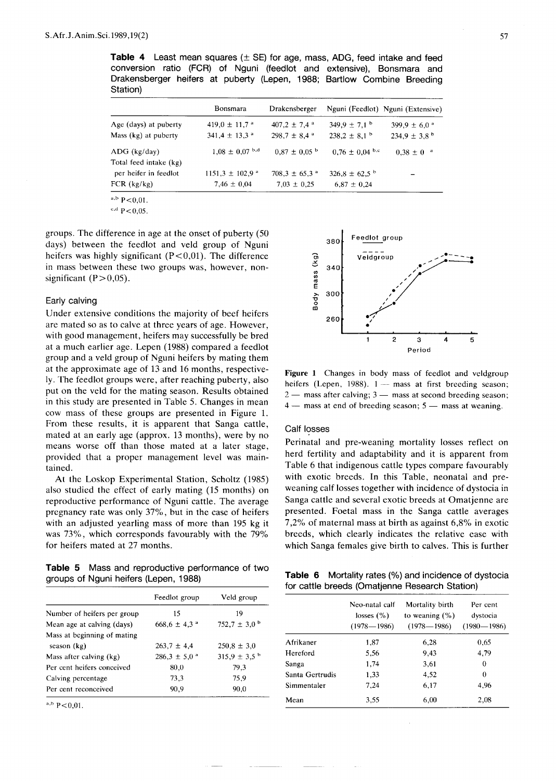**Table 4** Least mean squares (± SE) for age, mass, ADG, feed intake and feed conversion ratio (FCR) of Nguni (feedlot and extensive), Bonsmara and Drakensberger heifers at puberty (Lepen, 1988; Bartlow Combine Breeding Station)

|                        | <b>Bonsmara</b>                        | Drakensberger                 |                              | Nguni (Feedlot) Nguni (Extensive) |
|------------------------|----------------------------------------|-------------------------------|------------------------------|-----------------------------------|
| Age (days) at puberty  | 419,0 $\pm$ 11,7 $\textsuperscript{a}$ | $407.2 \pm 7.4$ <sup>a</sup>  | $349.9 \pm 7.1$ <sup>b</sup> | 399,9 $\pm$ 6,0 $^{\circ}$        |
| Mass (kg) at puberty   | $341.4 \pm 13.3$ <sup>a</sup>          | $298.7 \pm 8.4$ <sup>a</sup>  | $238.2 \pm 8.1$ <sup>b</sup> | $234.9 \pm 3.8^{\circ}$           |
| $ADG$ (kg/day)         | $1,08 \pm 0,07$ b.d                    | $0.87 \pm 0.05$ b             | $0.76 \pm 0.04$ b.c          | $0.38 \pm 0^{-a}$                 |
| Total feed intake (kg) |                                        |                               |                              |                                   |
| per heifer in feedlot  | $1151,3 \pm 102,9$ <sup>a</sup>        | $708.3 \pm 65.3$ <sup>a</sup> | $326.8 \pm 62.5^{\circ}$     |                                   |
| FCR (kg/kg)            | $7,46 \pm 0,04$                        | $7,03 \pm 0,25$               | $6,87 \pm 0,24$              |                                   |

 $a,b$  P < 0,01.

 $c,d$  P < 0,05.

groups, The difference in age at the onset of puberty (50 days) between the feedlot and veld group of Nguni heifers was highly significant  $(P<0.01)$ . The difference in mass between these two groups was, however, nonsignificant  $(P>0,05)$ .

# Early calving

Under extensive conditions the majority of beef heifers are mated so as to calve at three years of age. However, with good management, heifers may successfully be bred at a much earlier age. Lepen (1988) compared a feedlot group and a veld group of Nguni heifers by mating them at the approximate age of 13 and 16 months, respective-Iy. The feedlot groups were, after reaching puberty, also put on the veld for the mating season. Results obtained in this study are presented in Table 5. Changes in mean cow mass of these groups are presented in Figure 1. From these results, it is apparent that Sanga cattle, mated at an early age (approx. 13 months), were by no means worse off than those mated at a later stage, provided that a proper management level was maintained.

At the Loskop Experimental Station, Scholtz (1985) also studied the effect of early mating (15 months) on reproductive performance of Nguni cattle. The average pregnancy rate was only 37%, but in the case of heifers with an adjusted yearling mass of more than 195 kg it was 73%, which corresponds favourably with the 79% for heifers mated at 27 months.

**Table 5** Mass and reproductive performance of two groups of Nguni heifers (Lepen, 1988)

|                             | Feedlot group              | Veld group                   |
|-----------------------------|----------------------------|------------------------------|
| Number of heifers per group | 15                         | 19                           |
| Mean age at calving (days)  | $668.6 \pm 4.3$ $^{\circ}$ | $752.7 \pm 3.0^{\circ}$      |
| Mass at beginning of mating |                            |                              |
| season (kg)                 | $263.7 \pm 4.4$            | $250,8 \pm 3,0$              |
| Mass after calving (kg)     | $286.3 \pm 5.0^{\circ}$    | $315,9 \pm 3,5$ <sup>b</sup> |
| Per cent heifers conceived  | 80,0                       | 79,3                         |
| Calving percentage          | 73,3                       | 75.9                         |
| Per cent reconceived        | 90,9                       | 90,0                         |

 $a,b$  P < 0,01.



Figure 1 Changes in body mass of feedlot and veldgroup heifers (Lepen, 1988).  $1 -$  mass at first breeding season;  $2 -$  mass after calving;  $3 -$  mass at second breeding season;  $4 -$  mass at end of breeding season;  $5 -$  mass at weaning.

# Calf losses

Perinatal and pre-weaning mortality losses reflect on herd fertility and adaptability and it is apparent from Table 6 that indigenous cattle types compare favourably with exotic breeds. In this Table, neonatal and preweaning calf losses together with incidence of dystocia in Sanga cattle and several exotic breeds at Omatjenne are presented. Foetal mass in the Sanga cattle averages 7,2% of maternal mass at birth as against 6,8% in exotic breeds, which clearly indicates the relative ease with which Sanga females give birth to calves. This is further

**Table 6** Mortality rates (%) and incidence of dystocia for cattle breeds (Omatjenne Research Station)

|                 | Neo-natal calf<br>losses $(\% )$<br>$(1978 - 1986)$ | Mortality birth<br>to weaning $(\%)$<br>$(1978 - 1986)$ | Per cent<br>dystocia<br>$(1980 - 1986)$ |
|-----------------|-----------------------------------------------------|---------------------------------------------------------|-----------------------------------------|
| Afrikaner       | 1.87                                                | 6,28                                                    | 0,65                                    |
| Hereford        | 5,56                                                | 9,43                                                    | 4,79                                    |
| Sanga           | 1,74                                                | 3,61                                                    | 0                                       |
| Santa Gertrudis | 1,33                                                | 4,52                                                    | 0                                       |
| Simmentaler     | 7.24                                                | 6,17                                                    | 4.96                                    |
| Mean            | 3,55                                                | 6,00                                                    | 2,08                                    |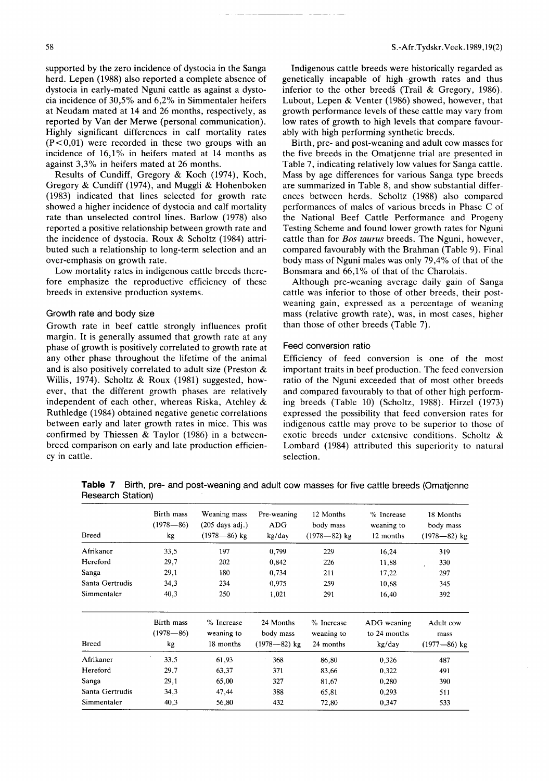supported by the zero incidence of dystocia in the Sanga herd. Lepen (1988) also reported a complete absence of dystocia in early-mated Nguni cattle as against a dystocia incidence of 30,5% and 6,2% in Simmentaler heifers at Neudam mated at 14 and 26 months, respectively, as reported by Van der Merwe (personal communication). Highly significant differences in calf mortality rates  $(P<0,01)$  were recorded in these two groups with an incidence of 16,1% in heifers mated at 14 months as against 3,3% in heifers mated at 26 months.

Results of Cundiff, Gregory & Koch (1974), Koch, Gregory & Cundiff (1974), and Muggli & Hohenboken (1983) indicated that lines selected for growth rate showed a higher incidence of dystocia and calf mortality rate than unselected control lines. Barlow (1978) also reported a positive relationship between growth rate and the incidence of dystocia. Roux & Scholtz (1984) attributed such a relationship to long-term selection and an over-emphasis on growth rate.

Low mortality rates in indigenous cattle breeds therefore emphasize the reproductive efficiency of these breeds in extensive production systems.

# Growth rate and body size

Growth rate in beef cattle strongly influences profit margin. It is generally assumed that growth rate at any phase of growth is positively correlated to growth rate at any other phase throughout the lifetime of the animal and is also positively correlated to adult size (Preston & Willis, 1974). Scholtz & Roux (1981) suggested, however, that the different growth phases are relatively independent of each other, whereas Riska, Atchley & Ruthledge (1984) obtained negative genetic correlations between early and later growth rates in mice. This was confirmed by Thiessen & Taylor (1986) in a betweenbreed comparison on early and late production efficiency in cattle.

Indigenous cattle breeds were historically regarded as genetically incapable of high -growth rates and thus inferior to the other breeds (Trail & Gregory, 1986). Lubout, Lepen & Venter (1986) showed, however, that growth performance levels of these cattle may vary from low rates of growth to high levels that compare favourably with high performing synthetic breeds.

Birth, pre- and post-weaning and adult cow masses for the five breeds in the Omatjenne trial are presented in Table 7, indicating relatively low values for Sanga cattle. Mass by age differences for various Sanga type breeds are summarized in Table 8, and show substantial differences between herds. Scholtz (1988) also compared performances of males of various breeds in Phase C of the National Beef Cattle Performance and Progeny Testing Scheme and found lower growth rates for Nguni cattle than for *Bos taurus* breeds. The Nguni, however, compared favourably with the Brahman (Table 9). Final body mass of Nguni males was only 79,4% of that of the Bonsmara and 66.1% of that of the Charolais.

Although pre-weaning average daily gain of Sanga cattle was inferior to those of other breeds, their postweaning gain, expressed as a percentage of weaning mass (relative growth rate), was, in most cases, higher than those of other breeds (Table 7).

# Feed conversion ratio

Efficiency of feed conversion is one of the most important traits in beef production. The feed conversion ratio of the Nguni exceeded that of most other breeds and compared favourably to that of other high performing breeds (Table 10) (Scholtz, 1988). Hirzel (1973) expressed the possibility that feed conversion rates for indigenous cattle may prove to be superior to those of exotic breeds under extensive conditions. Scholtz & Lombard (1984) attributed this superiority to natural selection.

**Table 7** Birth, pre- and post-weaning and adult cow masses for five cattle breeds (Omatjenne Research Station)

| <b>Breed</b>    | Birth mass<br>$(1978 - 86)$<br>kg | Weaning mass<br>$(205 \text{ days } \text{adj.})$<br>$(1978 - 86)$ kg | Pre-weaning<br>ADG<br>kg/day               | 12 Months<br>body mass<br>$(1978 - 82)$ kg | % Increase<br>weaning to<br>12 months | 18 Months<br>body mass<br>$(1978 - 82)$ kg |
|-----------------|-----------------------------------|-----------------------------------------------------------------------|--------------------------------------------|--------------------------------------------|---------------------------------------|--------------------------------------------|
| Afrikaner       | 33,5                              | 197                                                                   | 0,799                                      | 229                                        | 16,24                                 | 319                                        |
| Hereford        | 29,7                              | 202                                                                   | 0,842                                      | 226                                        | 11,88                                 | 330                                        |
| Sanga           | 29,1                              | 180                                                                   | 0,734                                      | 211                                        | 17,22                                 | 297                                        |
| Santa Gertrudis | 34,3                              | 234                                                                   | 0,975                                      | 259                                        | 10,68                                 | 345                                        |
| Simmentaler     | 40,3                              | 250                                                                   | 1,021                                      | 291                                        | 16,40                                 | 392                                        |
| <b>Breed</b>    | Birth mass<br>$(1978 - 86)$<br>kg | % Increase<br>weaning to<br>18 months                                 | 24 Months<br>body mass<br>$(1978 - 82)$ kg | % Increase<br>weaning to<br>24 months      | ADG weaning<br>to 24 months<br>kg/day | Adult cow<br>mass<br>$(1977 - 86)$ kg      |
|                 |                                   |                                                                       |                                            |                                            |                                       |                                            |
| Afrikaner       | 33,5                              | 61,93                                                                 | 368                                        | 86,80                                      | 0,326                                 | 487                                        |
| Hereford        | 29,7                              | 63,37                                                                 | 371                                        | 83,66                                      | 0,322                                 | 491                                        |
| Sanga           | 29,1                              | 65,00                                                                 | 327                                        | 81,67                                      | 0,280                                 | 390                                        |
| Santa Gertrudis | 34,3                              | 47,44                                                                 | 388                                        | 65,81                                      | 0,293                                 | 511                                        |
| Simmentaler     | 40,3                              | 56,80                                                                 | 432                                        | 72,80                                      | 0,347                                 | 533                                        |
|                 |                                   |                                                                       |                                            |                                            |                                       |                                            |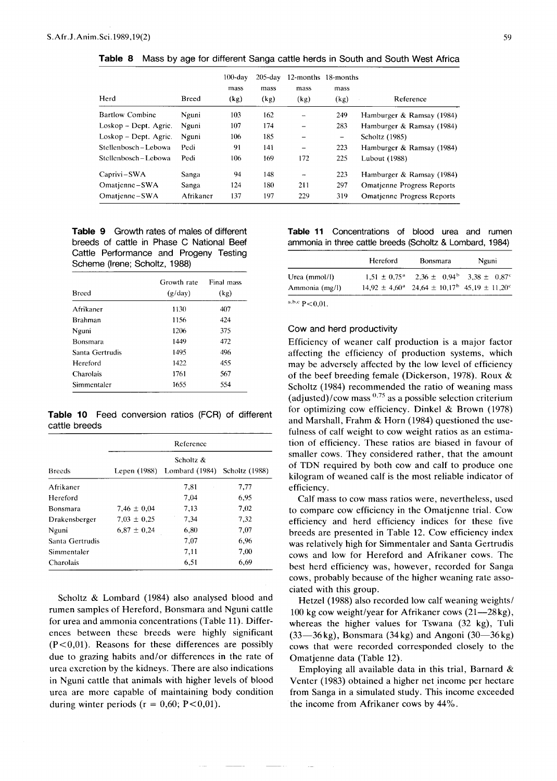Table 8 Mass by age for different Sanga cattle herds in South and South West Africa

| Herd                   | <b>Breed</b> | $100$ -dav<br>mass<br>(kg) | $205$ -day<br>mass<br>(kg) | mass<br>(kg)             | 12-months 18-months<br>mass<br>(kg) | Reference                         |
|------------------------|--------------|----------------------------|----------------------------|--------------------------|-------------------------------------|-----------------------------------|
| <b>Bartlow Combine</b> | Nguni        | 103                        | 162                        | $\overline{\phantom{a}}$ | 249                                 | Hamburger & Ramsay (1984)         |
| Loskop – Dept. Agric.  | Nguni        | 107                        | 174                        | -                        | 283                                 | Hamburger & Ramsay (1984)         |
| Loskop – Dept. Agric.  | Nguni        | 106                        | 185                        | -                        | $\qquad \qquad -$                   | Scholtz (1985)                    |
| Stellenbosch-Lebowa    | Pedi         | 91                         | 141                        | $\qquad \qquad$          | 223                                 | Hamburger & Ramsay (1984)         |
| Stellenbosch – Lebowa  | Pedi         | 106                        | 169                        | 172                      | 225                                 | Lubout (1988)                     |
| Caprivi-SWA            | Sanga        | 94                         | 148                        | $\overline{\phantom{m}}$ | 223                                 | Hamburger & Ramsay (1984)         |
| Omatienne-SWA          | Sanga        | 124                        | 180                        | 211                      | 297                                 | <b>Omatjenne Progress Reports</b> |
| Omatjenne-SWA          | Afrikaner    | 137                        | 197                        | 229                      | 319                                 | <b>Omatienne Progress Reports</b> |

# **Table 9** Growth rates of males of different breeds of cattle in Phase C National Beef Cattle Performance and Progeny Testing Scheme (Irene; Scholtz, 1988)

| <b>Breed</b>    | Growth rate<br>(g/day) | Final mass<br>(kg) |
|-----------------|------------------------|--------------------|
| Afrikaner       | 1130                   | 407                |
| <b>Brahman</b>  | 1156                   | 424                |
| Nguni           | 1206                   | 375                |
| Bonsmara        | 1449                   | 472                |
| Santa Gertrudis | 1495                   | 496                |
| Hereford        | 1422                   | 455                |
| Charolais       | 1761                   | 567                |
| Simmentaler     | 1655                   | 554                |

**Table 10** Feed conversion ratios (FCR) of different cattle breeds

|                 | Reference       |                                             |                |  |  |  |
|-----------------|-----------------|---------------------------------------------|----------------|--|--|--|
| <b>Breeds</b>   |                 | Scholtz $\&$<br>Lepen (1988) Lombard (1984) | Scholtz (1988) |  |  |  |
| Afrikaner       |                 | 7.81                                        | 7,77           |  |  |  |
| Hereford        |                 | 7,04                                        | 6.95           |  |  |  |
| Bonsmara        | 7,46 $\pm$ 0.04 | 7.13                                        | 7,02           |  |  |  |
| Drakensberger   | $7.03 \pm 0.25$ | 7.34                                        | 7,32           |  |  |  |
| Nguni           | $6.87 \pm 0.24$ | 6,80                                        | 7,07           |  |  |  |
| Santa Gertrudis |                 | 7.07                                        | 6.96           |  |  |  |
| Simmentaler     |                 | 7,11                                        | 7,00           |  |  |  |
| Charolais       |                 | 6.51                                        | 6,69           |  |  |  |

Scholtz & Lombard (1984) also analysed blood and rumen samples of Hereford, Bonsmara and Nguni cattle for urea and ammonia concentrations (Table 11). Differences between these breeds were highly significant  $(P<0.01)$ . Reasons for these differences are possibly due to grazing habits and/or differences in the rate of urea excretion by the kidneys. There are also indications in Nguni cattle that animals with higher levels of blood urea are more capable of maintaining body condition during winter periods ( $r = 0.60$ ; P<0.01).

## **Table 11** Concentrations of blood urea and rumen ammonia in three cattle breeds (Scholtz & Lombard, 1984)

|                 | Hereford | <b>Bonsmara</b>                                                                        | Nguni |
|-----------------|----------|----------------------------------------------------------------------------------------|-------|
| Urea $(mmol/l)$ |          | $1.51 \pm 0.75^{\circ}$ $2.36 \pm 0.94^{\circ}$ $3.38 \pm 0.87^{\circ}$                |       |
| Ammonia (mg/l)  |          | $14.92 \pm 4.60^{\circ}$ 24.64 $\pm$ 10.17 <sup>b</sup> 45.19 $\pm$ 11.20 <sup>c</sup> |       |

a,b,c  $P < 0,01$ .

## Cow and herd productivity

Efficiency of weaner calf production is a major factor affecting the efficiency of production systems, which may be adversely affected by the low level of efficiency of the beef breeding female (Dickerson, 1978). Roux & Scholtz (1984) recommended the ratio of weaning mass (adjusted)/cow mass  $0.75$  as a possible selection criterium for optimizing cow efficiency. Dinkel & Brown (1978) and Marshall, Frahm & Horn (1984) questioned the usefulness of calf weight to cow weight ratios as an estimation of efficiency. These ratios are biased in favour of smaller cows. They considered rather, that the amount of TDN required by both cow and calf to produce one kilogram of weaned calf is the most reliable indicator of efficiency.

Calf mass to cow mass ratios were, nevertheless, used to compare cow efficiency in the Omatjenne trial. Cow efficiency and herd efficiency indices for these five breeds are presented in Table 12. Cow efficiency index was relatively high for Simmentaler and Santa Gertrudis cows and low for Hereford and Afrikaner cows. The best herd efficiency was, however, recorded for Sanga cows, probably because of the higher weaning rate associated with this group.

Hetzel (1988) also recorded low calf weaning weights/ 100 kg cow weight/year for Afrikaner cows  $(21-28kg)$ , whereas the higher values for Tswana (32 kg), Tuli  $(33-36 \text{ kg})$ , Bonsmara  $(34 \text{ kg})$  and Angoni  $(30-36 \text{ kg})$ cows that were recorded corresponded closely to the Omatjenne data (Table 12).

Employing all available data in this trial, Barnard  $\&$ Venter (1983) obtained a higher net income per hectare from Sanga in a simulated study. This income exceeded the income from Afrikaner cows by 44%.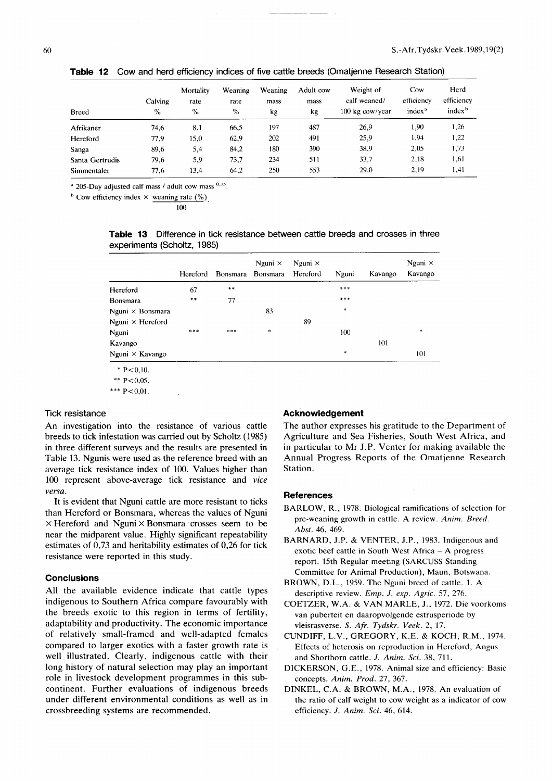| <b>Breed</b>    | Calving<br>$\%$ | Mortality<br>rate<br>$\%$ | Weaning<br>rate<br>$\%$ | Weaning<br>mass<br>kg | Adult cow<br>mass<br>kg | Weight of<br>calf weaned/<br>$100 \text{ kg}$ cow/year | Cow<br>efficiency<br>index <sup>a</sup> | Herd<br>efficiency<br>index <sup>b</sup> |
|-----------------|-----------------|---------------------------|-------------------------|-----------------------|-------------------------|--------------------------------------------------------|-----------------------------------------|------------------------------------------|
| Afrikaner       | 74,6            | 8,1                       | 66,5                    | 197                   | 487                     | 26.9                                                   | 1,90                                    | 1,26                                     |
| Hereford        | 77,9            | 15,0                      | 62,9                    | 202                   | 491                     | 25,9                                                   | 1.94                                    | 1,22                                     |
| Sanga           | 89.6            | 5,4                       | 84,2                    | 180                   | 390                     | 38.9                                                   | 2.05                                    | 1,73                                     |
| Santa Gertrudis | 79,6            | 5.9                       | 73.7                    | 234                   | 511                     | 33,7                                                   | 2,18                                    | 1,61                                     |
| Simmentaler     | 77.6            | 13,4                      | 64.2                    | 250                   | 553                     | 29,0                                                   | 2.19                                    | 1,41                                     |

Table 12 Cow and herd efficiency indices of five cattle breeds (Omatjenne Research Station)

 $^{\circ}$  205-Day adjusted calf mass / adult cow mass  $^{0.75}$ .

<sup>b</sup> Cow efficiency index  $\times$  weaning rate (%)

100

**Table 13** Difference in tick resistance between cattle breeds and crosses in three experiments (Scholtz, 1985)

|                         | Hereford | <b>Bonsmara</b> | Nguni $\times$<br>Bonsmara | Nguni $\times$<br>Hereford | Nguni  | Kavango | Nguni $\times$<br>Kavango |
|-------------------------|----------|-----------------|----------------------------|----------------------------|--------|---------|---------------------------|
| Hereford                | 67       | $***$           |                            |                            | ***    |         |                           |
| Bonsmara                | $***$    | 77              |                            |                            | ***    |         |                           |
| Nguni $\times$ Bonsmara |          |                 | 83                         |                            | $\ast$ |         |                           |
| Nguni $\times$ Hereford |          |                 |                            | 89                         |        |         |                           |
| Nguni                   | ***      | $* * *$         | *                          |                            | 100    |         | *                         |
| Kavango                 |          |                 |                            |                            |        | 101     |                           |
| Nguni $\times$ Kavango  |          |                 |                            |                            | $\ast$ |         | 101                       |
| * $P < 0.10$ .          |          |                 |                            |                            |        |         |                           |
| ** $P < 0.05$ .         |          |                 |                            |                            |        |         |                           |

\*\*\*  $P < 0.01$ .

#### Tick resistance

An investigation into the resistance of various cattle breeds to tick infestation was carried out by Scholtz (1985) in three different surveys and the results are presented in Table 13. Ngunis were used as the reference breed with an average tick resistance index of 100. Values higher than 100 represent above-average tick resistance and *vice versa.*

It is evident that Nguni cattle are more resistant to ticks than Hereford or Bonsmara, whereas the values of Nguni  $\times$  Hereford and Nguni  $\times$  Bonsmara crosses seem to be near the midparent value. Highly significant repeatability estimates of 0,73 and heritability estimates of 0,26 for tick resistance were reported in this study.

### **Conclusions**

All the available evidence indicate that cattle types indigenous to Southern Africa compare favourably with the breeds exotic to this region in terms of fertility, adaptability and productivity. The economic importance of relatively small-framed and well-adapted females compared to larger exotics with a faster growth rate is well illustrated. Clearly, indigenous cattle with their long history of natural selection may play an important role in livestock development programmes in this subcontinent. Further evaluations of indigenous breeds under different environmental conditions as well as in crossbreeding systems are recommended.

## **Acknowledgement**

The author expresses his gratitude to the Department of Agriculture and Sea Fisheries, South West Africa, and in particular to Mr J.P. Venter for making available the Annual Progress Reports of the Omatjenne Research Station.

#### **References**

- BARLOW, R., 1978. Biological ramifications of selection for pre-weaning growth in cattle. A review. *Anim. Breed. Abst.* 46, 469.
- BARNARD, J.P. & VENTER, J.P., 1983. Indigenous and exotic beef cattle in South West Africa - A progress report. 15th Regular meeting (SARCUSS Standing Committee for Animal Production), Maun, Botswana.
- BROWN, D.L., 1959. The Nguni breed of cattle. 1. A descriptive review. *Emp. J. exp. Agric.* 57, 276.
- COETZER, W.A. & VAN MARLE, J., 1972. Die voorkoms van puberteit en daaropvolgende estrusperiode by vleisrasverse. S. *Afr. Tydskr. Veek.* 2, 17.
- CUNDIFF, L.V., GREGORY, K.E. & KOCH, R.M., 1974. Effects of heterosis on reproduction in Hereford, Angus and Shorthorn cattle. *J. Anim. Sci.* 38, 711.
- DICKERSON, G.E., 1978. Animal size and efficiency: Basic concepts. *Anim. Prod.* 27, 367.
- DINKEL, CA. & BROWN, M.A., 1978. An evaluation of the ratio of calf weight to cow weight as a indicator of cow efficiency. *J. Anim. Sci.* 46, 614.